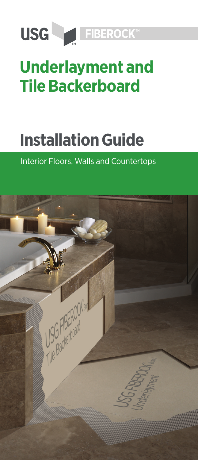

# **Underlayment and Tile Backerboard**

# **Installation Guide**

# Interior Floors, Walls and Countertops

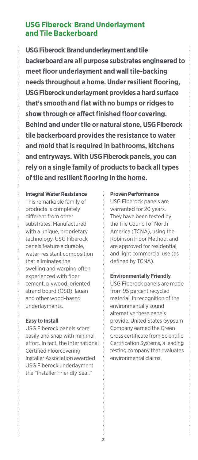#### **USG Fiberock® Brand Underlayment and Tile Backerboard**

**USG Fiberock**®  **Brand underlayment and tile backerboard are all purpose substrates engineered to meet floor underlayment and wall tile-backing needs throughout a home. Under resilient flooring, USG Fiberock underlayment provides a hard surface that's smooth and flat with no bumps or ridges to show through or affect finished floor covering. Behind and under tile or natural stone, USG Fiberock tile backerboard provides the resistance to water and mold that is required in bathrooms, kitchens and entryways. With USG Fiberock panels, you can rely on a single family of products to back all types of tile and resilient flooring in the home.**

#### **Integral Water Resistance**

This remarkable family of products is completely different from other substrates. Manufactured with a unique, proprietary technology, USG Fiberock panels feature a durable, water-resistant composition that eliminates the swelling and warping often experienced with fiber cement, plywood, oriented strand board (OSB), lauan and other wood-based underlayments.

#### **Easy to Install**

USG Fiberock panels score easily and snap with minimal effort. In fact, the International Certified Floorcovering Installer Association awarded USG Fiberock underlayment the "Installer Friendly Seal."

#### **Proven Performance**

USG Fiberock panels are warranted for 20 years. They have been tested by the Tile Council of North America (TCNA), using the Robinson Floor Method, and are approved for residential and light commercial use (as defined by TCNA).

#### **Environmentally Friendly**

USG Fiberock panels are made from 95 percent recycled material. In recognition of the environmentally sound alternative these panels provide, United States Gypsum Company earned the Green Cross certificate from Scientific Certification Systems, a leading testing company that evaluates environmental claims.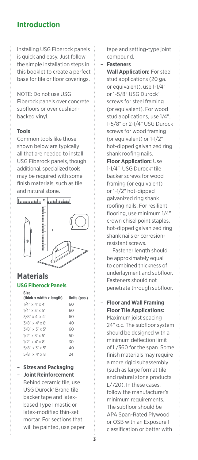#### **Introduction**

Installing USG Fiberock panels is quick and easy. Just follow the simple installation steps in this booklet to create a perfect base for tile or floor coverings.

NOTE: Do not use USG Fiberock panels over concrete subfloors or over cushionbacked vinyl.

#### **Tools**

Common tools like those shown below are typically all that are needed to install USG Fiberock panels, though additional, specialized tools may be required with some finish materials, such as tile and natural stone.



#### **Materials USG Fiberock Panels**

| <b>Size</b><br>(thick x width x length) | Units (pcs.) |
|-----------------------------------------|--------------|
| $1/4$ " x 4' x 4'                       | 60           |
| $1/4'' \times 3' \times 5'$             | 60           |
| $3/8$ " x 4' x 4'                       | 60           |
| $3/8$ " x 4' x 8'                       | 40           |
| $3/8$ " x 3' x 5'                       | 60           |
| $1/2$ " $\times$ 3' $\times$ 5'         | 50           |
| $1/2$ " x 4' x 8'                       | 30           |
| $5/8'' \times 3' \times 5'$             | 40           |
| $5/8$ " x 4' x 8'                       | 24           |

#### – **Sizes and Packaging** – **Joint Reinforcement**

Behind ceramic tile, use USG Durock™ Brand tile backer tape and latexbased Type I mastic or latex-modified thin-set mortar. For sections that will be painted, use paper tape and setting-type joint compound.

– **Fasteners**

**Wall Application:** For steel stud applications (20 ga. or equivalent), use 1-1/4" or 1-5/8" USG Durock™ screws for steel framing (or equivalent). For wood stud applications, use 1/4", 1-5/8" or 2-1/4" USG Durock screws for wood framing (or equivalent) or 1-1/2" hot-dipped galvanized ring shank roofing nails.

**Floor Application:** Use 1-1/4" USG Durock" tile backer screws for wood framing (or equivalent) or 1-1/2" hot-dipped galvanized ring shank roofing nails. For resilient flooring, use minimum 1/4" crown chisel point staples, hot-dipped galvanized ring shank nails or corrosionresistant screws.

 Fastener length should be approximately equal to combined thickness of underlayment and subfloor. Fasteners should not penetrate through subfloor.

– **Floor and Wall Framing Floor Tile Applications:** 

Maximum joist spacing 24" o.c. The subfloor system should be designed with a minimum deflection limit of L/360 for the span. Some finish materials may require a more rigid subassembly (such as large format tile and natural stone products L/720). In these cases, follow the manufacturer's minimum requirements. The subfloor should be APA Span-Rated Plywood or OSB with an Exposure 1 classification or better with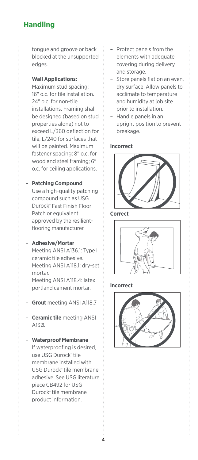# **Handling**

tongue and groove or back blocked at the unsupported edges.

#### **Wall Applications:**

Maximum stud spacing: 16" o.c. for tile installation. 24" o.c. for non-tile installations. Framing shall be designed (based on stud properties alone) not to exceed L/360 deflection for tile, L/240 for surfaces that will be painted. Maximum fastener spacing: 8" o.c. for wood and steel framing; 6" o.c. for ceiling applications.

#### – **Patching Compound**

Use a high-quality patching compound such as USG Durock™ Fast Finish Floor Patch or equivalent approved by the resilientflooring manufacturer.

#### – **Adhesive/Mortar**

Meeting ANSI A136.1: Type I ceramic tile adhesive. Meeting ANSI A118.1: dry-set mortar. Meeting ANSI A118.4: latex portland cement mortar.

- **Grout** meeting ANSI A118.7.
- **Ceramic tile** meeting ANSI A137.

– **Waterproof Membrane** If waterproofing is desired, use USG Durock™ tile membrane installed with USG Durock<sup>™</sup> tile membrane adhesive. See USG literature piece CB492 for USG Durock™ tile membrane product information.

- Protect panels from the elements with adequate covering during delivery and storage.
- Store panels flat on an even, dry surface. Allow panels to acclimate to temperature and humidity at job site prior to installation.
- Handle panels in an upright position to prevent breakage.

#### **Incorrect**



**Correct**



#### **Incorrect**

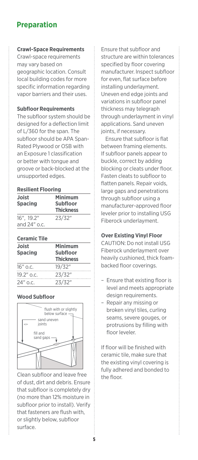# **Preparation**

#### **Crawl-Space Requirements**

Crawl-space requirements may vary based on geographic location. Consult local building codes for more specific information regarding vapor barriers and their uses.

#### **Subfloor Requirements**

The subfloor system should be designed for a deflection limit of L/360 for the span. The subfloor should be APA Span-Rated Plywood or OSB with an Exposure 1 classification or better with tongue and groove or back-blocked at the unsupported edges.

#### **Resilient Flooring**

| Joist<br><b>Spacing</b>    | Minimum<br><b>Subfloor</b><br><b>Thickness</b> |
|----------------------------|------------------------------------------------|
| 16". 19.2"<br>and 24" o.c. | 23/32"                                         |

#### **Ceramic Tile**

| Joist<br>Spacing | Minimum<br><b>Subfloor</b><br><b>Thickness</b> |
|------------------|------------------------------------------------|
| 16" o.c.         | 19/32"                                         |
| 19.2" o.c.       | 23/32"                                         |
| 24" o.c.         | 23/32"                                         |

#### **Wood Subfloor**



Clean subfloor and leave free of dust, dirt and debris. Ensure that subfloor is completely dry (no more than 12% moisture in subfloor prior to install). Verify that fasteners are flush with, or slightly below, subfloor surface.

Ensure that subfloor and structure are within tolerances specified by floor covering manufacturer. Inspect subfloor for even, flat surface before installing underlayment. Uneven end edge joints and variations in subfloor panel thickness may telegraph through underlayment in vinyl applications. Sand uneven joints, if necessary.

Ensure that subfloor is flat between framing elements. If subfloor panels appear to buckle, correct by adding blocking or cleats under floor. Fasten cleats to subfloor to flatten panels. Repair voids, large gaps and penetrations through subfloor using a manufacturer-approved floor leveler prior to installing USG Fiberock underlayment.

#### **Over Existing Vinyl Floor**

CAUTION: Do not install USG Fiberock underlayment over heavily cushioned, thick foambacked floor coverings.

- Ensure that existing floor is level and meets appropriate design requirements.
- Repair any missing or broken vinyl tiles, curling seams, severe gouges, or protrusions by filling with floor leveler.

If floor will be finished with ceramic tile, make sure that the existing vinyl covering is fully adhered and bonded to the floor.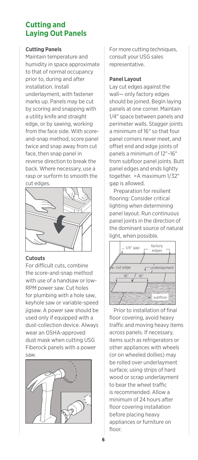## **Cutting and Laying Out Panels**

#### **Cutting Panels**

Maintain temperature and humidity in space approximate to that of normal occupancy prior to, during and after installation. Install underlayment, with fastener marks up. Panels may be cut by scoring and snapping with a utility knife and straight edge, or by sawing, working from the face side. With scoreand-snap method, score panel twice and snap away from cut face, then snap panel in reverse direction to break the back. Where necessary, use a rasp or surform to smooth the cut edges.



#### **Cutouts**

For difficult cuts, combine the score-and-snap method with use of a handsaw or low-RPM power saw. Cut holes for plumbing with a hole saw, keyhole saw or variable-speed jigsaw. A power saw should be used only if equipped with a dust-collection device. Always wear an OSHA-approved dust mask when cutting USG Fiberock panels with a power saw.



For more cutting techniques, consult your USG sales representative.

#### **Panel Layout**

Lay cut edges against the wall— only factory edges should be joined. Begin laying panels at one corner. Maintain 1/4" space between panels and perimeter walls. Stagger joints a minimum of 16" so that four panel corners never meet, and offset end and edge joints of panels a minimum of 12"–16" from subfloor panel joints. Butt panel edges and ends lightly together. =A maximum 1/32" gap is allowed.

Preparation for resilient flooring: Consider critical lighting when determining panel layout. Run continuous panel joints in the direction of the dominant source of natural light, when possible.



Prior to installation of final floor covering, avoid heavy traffic and moving heavy items across panels. If necessary, items such as refrigerators or other appliances with wheels (or on wheeled dollies) may be rolled over underlayment surface; using strips of hard wood or scrap underlayment to bear the wheel traffic is recommended. Allow a minimum of 24 hours after floor covering installation before placing heavy appliances or furniture on floor.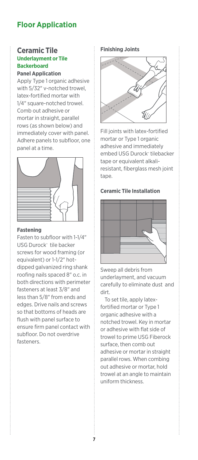# **Floor Application**

#### **Ceramic Tile Underlayment or Tile Backerboard**

**Panel Application** Apply Type 1 organic adhesive with 5/32" v-notched trowel, latex-fortified mortar with 1/4" square-notched trowel. Comb out adhesive or mortar in straight, parallel rows (as shown below) and immediately cover with panel. Adhere panels to subfloor, one panel at a time.



#### **Fastening**

Fasten to subfloor with 1-1/4" USG Durock™ tile backer screws for wood framing (or equivalent) or 1-1/2" hotdipped galvanized ring shank roofing nails spaced 8" o.c. in both directions with perimeter fasteners at least 3/8" and less than 5/8" from ends and edges. Drive nails and screws so that bottoms of heads are flush with panel surface to ensure firm panel contact with subfloor. Do not overdrive fasteners.

#### **Finishing Joints**



Fill joints with latex-fortified mortar or Type 1 organic adhesive and immediately embed USG Durock™ tilebacker tape or equivalent alkaliresistant, fiberglass mesh joint tape.

#### **Ceramic Tile Installation**



Sweep all debris from underlayment, and vacuum carefully to eliminate dust and dirt.

To set tile, apply latexfortified mortar or Type 1 organic adhesive with a notched trowel. Key in mortar or adhesive with flat side of trowel to prime USG Fiberock surface, then comb out adhesive or mortar in straight parallel rows. When combing out adhesive or mortar, hold trowel at an angle to maintain uniform thickness.

**7**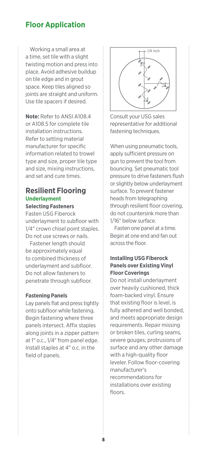### **Floor Application**

Working a small area at a time, set tile with a slight twisting motion and press into place. Avoid adhesive buildup on tile edge and in grout space. Keep tiles aligned so joints are straight and uniform. Use tile spacers if desired.

**Note:** Refer to ANSI A108.4 or A108.5 for complete tile installation instructions. Refer to setting material manufacturer for specific information related to trowel type and size, proper tile type and size, mixing instructions, and set and cure times.

#### **Resilient Flooring Underlayment Selecting Fasteners**

Fasten USG Fiberock underlayment to subfloor with 1/4" crown chisel point staples. Do not use screws or nails.

Fastener length should be approximately equal to combined thickness of underlayment and subfloor. Do not allow fasteners to penetrate through subfloor.

#### **Fastening Panels**

Lay panels flat and press tightly onto subfloor while fastening. Begin fastening where three panels intersect. Affix staples along joints in a zipper pattern at 1" o.c., 1/4" from panel edge. Install staples at 4" o.c. in the field of panels.



Consult your USG sales representative for additional fastening techniques.

When using pneumatic tools, apply sufficient pressure on gun to prevent the tool from bouncing. Set pneumatic tool pressure to drive fasteners flush or slightly below underlayment surface. To prevent fastener heads from telegraphing through resilient floor covering, do not countersink more than 1/16" below surface.

Fasten one panel at a time. Begin at one end and fan out across the floor.

#### **Installing USG Fiberock Panels over Existing Vinyl Floor Coverings**

Do not install underlayment over heavily cushioned, thick foam-backed vinyl. Ensure that existing floor is level, is fully adhered and well bonded, and meets appropriate design requirements. Repair missing or broken tiles, curling seams, severe gouges, protrusions of surface and any other damage with a high-quality floor leveler. Follow floor-covering manufacturer's recommendations for installations over existing floors.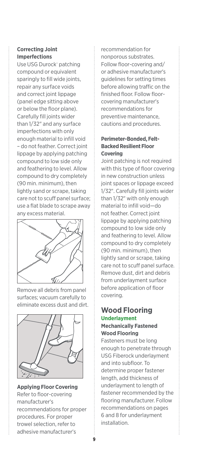#### **Correcting Joint Imperfections**

Use USG Durock™ patching compound or equivalent sparingly to fill wide joints, repair any surface voids and correct joint lippage (panel edge sitting above or below the floor plane). Carefully fill joints wider than 1/32" and any surface imperfections with only enough material to infill void – do not feather. Correct joint lippage by applying patching compound to low side only and feathering to level. Allow compound to dry completely (90 min. minimum), then lightly sand or scrape, taking care not to scuff panel surface; use a flat blade to scrape away any excess material.



Remove all debris from panel surfaces; vacuum carefully to eliminate excess dust and dirt.



#### **Applying Floor Covering**  Refer to floor-covering manufacturer's recommendations for proper procedures. For proper trowel selection, refer to adhesive manufacturer's

recommendation for nonporous substrates. Follow floor-covering and/ or adhesive manufacturer's guidelines for setting times before allowing traffic on the finished floor. Follow floorcovering manufacturer's recommendations for preventive maintenance, cautions and procedures.

#### **Perimeter-Bonded, Felt-Backed Resilient Floor Covering**

Joint patching is not required with this type of floor covering in new construction unless joint spaces or lippage exceed 1/32". Carefully fill joints wider than 1/32" with only enough material to infill void—do not feather. Correct joint lippage by applying patching compound to low side only and feathering to level. Allow compound to dry completely (90 min. minimum), then lightly sand or scrape, taking care not to scuff panel surface. Remove dust, dirt and debris from underlayment surface before application of floor covering.

#### **Wood Flooring Underlayment Mechanically Fastened**

# **Wood Flooring**

Fasteners must be long enough to penetrate through USG Fiberock underlayment and into subfloor. To determine proper fastener length, add thickness of underlayment to length of fastener recommended by the flooring manufacturer. Follow recommendations on pages 6 and 8 for underlayment installation.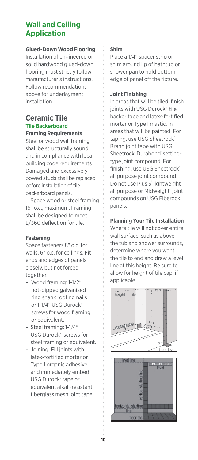### **Wall and Ceiling Application**

#### **Glued-Down Wood Flooring**

Installation of engineered or solid hardwood glued-down flooring must strictly follow manufacturer's instructions. Follow recommendations above for underlayment installation.

#### **Ceramic Tile Tile Backerboard Framing Requirements**

Steel or wood wall framing shall be structurally sound and in compliance with local building code requirements. Damaged and excessively bowed studs shall be replaced before installation of tile backerboard panels.

 Space wood or steel framing 16" o.c., maximum. Framing shall be designed to meet L/360 deflection for tile.

#### **Fastening**

Space fasteners 8" o.c. for walls, 6" o.c. for ceilings. Fit ends and edges of panels closely, but not forced together.

- Wood framing: 1-1/2" hot-dipped galvanized ring shank roofing nails or 1-1/4" USG Durock® screws for wood framing or equivalent.
- Steel framing: 1-1/4" USG Durock™ screws for steel framing or equivalent.
- Joining: Fill joints with latex-fortified mortar or Type 1 organic adhesive and immediately embed USG Durock<sup>™</sup> tape or equivalent alkali-resistant, fiberglass mesh joint tape.

#### **Shim**

Place a 1/4" spacer strip or shim around lip of bathtub or shower pan to hold bottom edge of panel off the fixture.

#### **Joint Finishing**

In areas that will be tiled, finish joints with USG Durock™ tile backer tape and latex-fortified mortar or Type I mastic. In areas that will be painted: For taping, use USG Sheetrock Brand joint tape with USG Sheetrock Durabond settingtype joint compound. For finishing, use USG Sheetrock all purpose joint compound. Do not use Plus 3<sup>'</sup> lightweight all purpose or Midweight<sup>™</sup> joint compounds on USG Fiberock panels.

#### **Planning Your Tile Installation**

Where tile will not cover entire wall surface, such as above the tub and shower surrounds, determine where you want the tile to end and draw a level line at this height. Be sure to allow for height of tile cap, if applicable.

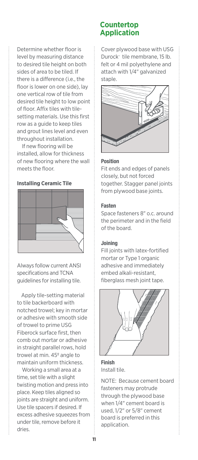Determine whether floor is level by measuring distance to desired tile height on both sides of area to be tiled. If there is a difference (i.e., the floor is lower on one side), lay one vertical row of tile from desired tile height to low point of floor. Affix tiles with tilesetting materials. Use this first row as a guide to keep tiles and grout lines level and even throughout installation.

 If new flooring will be installed, allow for thickness of new flooring where the wall meets the floor.

#### **Installing Ceramic Tile**



Always follow current ANSI specifications and TCNA guidelines for installing tile.

Apply tile-setting material to tile backerboard with notched trowel; key in mortar or adhesive with smooth side of trowel to prime USG Fiberock surface first, then comb out mortar or adhesive in straight parallel rows, hold trowel at min. 45º angle to maintain uniform thickness.

 Working a small area at a time, set tile with a slight twisting motion and press into place. Keep tiles aligned so joints are straight and uniform. Use tile spacers if desired. If excess adhesive squeezes from under tile, remove before it dries.

#### **Countertop Application**

Cover plywood base with USG Durock™ tile membrane, 15 lb. felt or 4 mil polyethylene and attach with 1/4" galvanized staple.



#### Position

Fit ends and edges of panels closely, but not forced together. Stagger panel joints from plywood base joints.

#### Fasten

Space fasteners 8" o.c. around the perimeter and in the field of the board.

#### Joining

Fill joints with latex-fortified mortar or Type 1 organic adhesive and immediately embed alkali-resistant, fiberglass mesh joint tape.



Finish Install tile.

NOTE: Because cement board fasteners may protrude through the plywood base when 1/4" cement board is used, 1/2" or 5/8" cement board is preferred in this application.